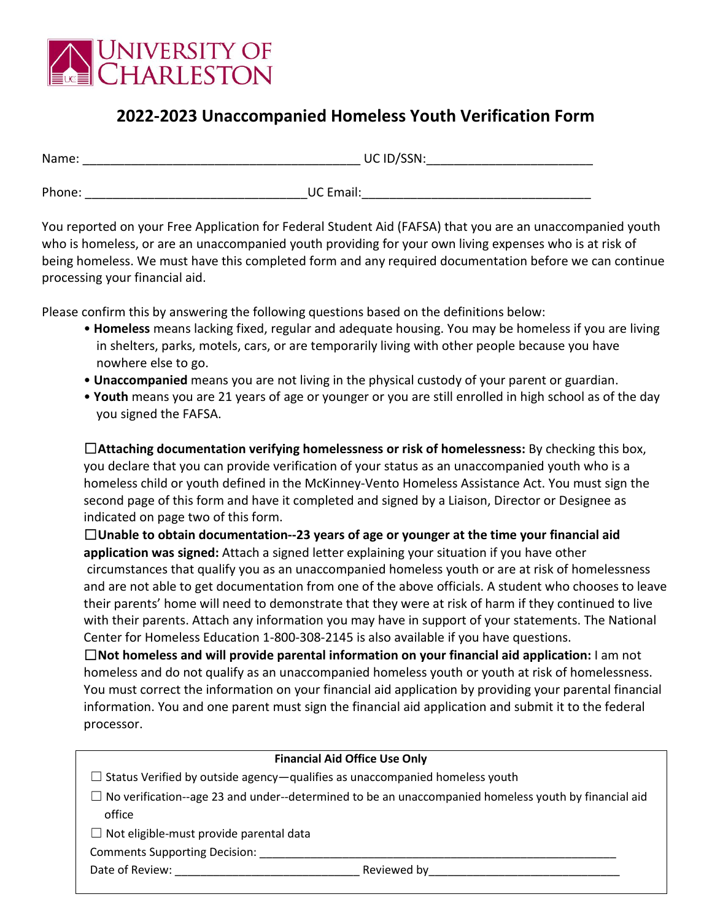

## **2022-2023 Unaccompanied Homeless Youth Verification Form**

| Name:  | UC ID/SSN:       |  |
|--------|------------------|--|
|        |                  |  |
| Phone: | <b>UC Email:</b> |  |

You reported on your Free Application for Federal Student Aid (FAFSA) that you are an unaccompanied youth who is homeless, or are an unaccompanied youth providing for your own living expenses who is at risk of being homeless. We must have this completed form and any required documentation before we can continue processing your financial aid.

Please confirm this by answering the following questions based on the definitions below:

- **Homeless** means lacking fixed, regular and adequate housing. You may be homeless if you are living in shelters, parks, motels, cars, or are temporarily living with other people because you have nowhere else to go.
- **Unaccompanied** means you are not living in the physical custody of your parent or guardian.
- **Youth** means you are 21 years of age or younger or you are still enrolled in high school as of the day you signed the FAFSA.

☐**Attaching documentation verifying homelessness or risk of homelessness:** By checking this box, you declare that you can provide verification of your status as an unaccompanied youth who is a homeless child or youth defined in the McKinney-Vento Homeless Assistance Act. You must sign the second page of this form and have it completed and signed by a Liaison, Director or Designee as indicated on page two of this form.

☐**Unable to obtain documentation--23 years of age or younger at the time your financial aid application was signed:** Attach a signed letter explaining your situation if you have other circumstances that qualify you as an unaccompanied homeless youth or are at risk of homelessness and are not able to get documentation from one of the above officials. A student who chooses to leave their parents' home will need to demonstrate that they were at risk of harm if they continued to live with their parents. Attach any information you may have in support of your statements. The National Center for Homeless Education 1-800-308-2145 is also available if you have questions.

☐**Not homeless and will provide parental information on your financial aid application:** I am not homeless and do not qualify as an unaccompanied homeless youth or youth at risk of homelessness. You must correct the information on your financial aid application by providing your parental financial information. You and one parent must sign the financial aid application and submit it to the federal processor.

| <b>Financial Aid Office Use Only</b>                                                                        |             |  |  |  |
|-------------------------------------------------------------------------------------------------------------|-------------|--|--|--|
| $\Box$ Status Verified by outside agency—qualifies as unaccompanied homeless youth                          |             |  |  |  |
| $\Box$ No verification--age 23 and under--determined to be an unaccompanied homeless youth by financial aid |             |  |  |  |
| office                                                                                                      |             |  |  |  |
| $\Box$ Not eligible-must provide parental data                                                              |             |  |  |  |
| <b>Comments Supporting Decision:</b>                                                                        |             |  |  |  |
| Date of Review:                                                                                             | Reviewed by |  |  |  |